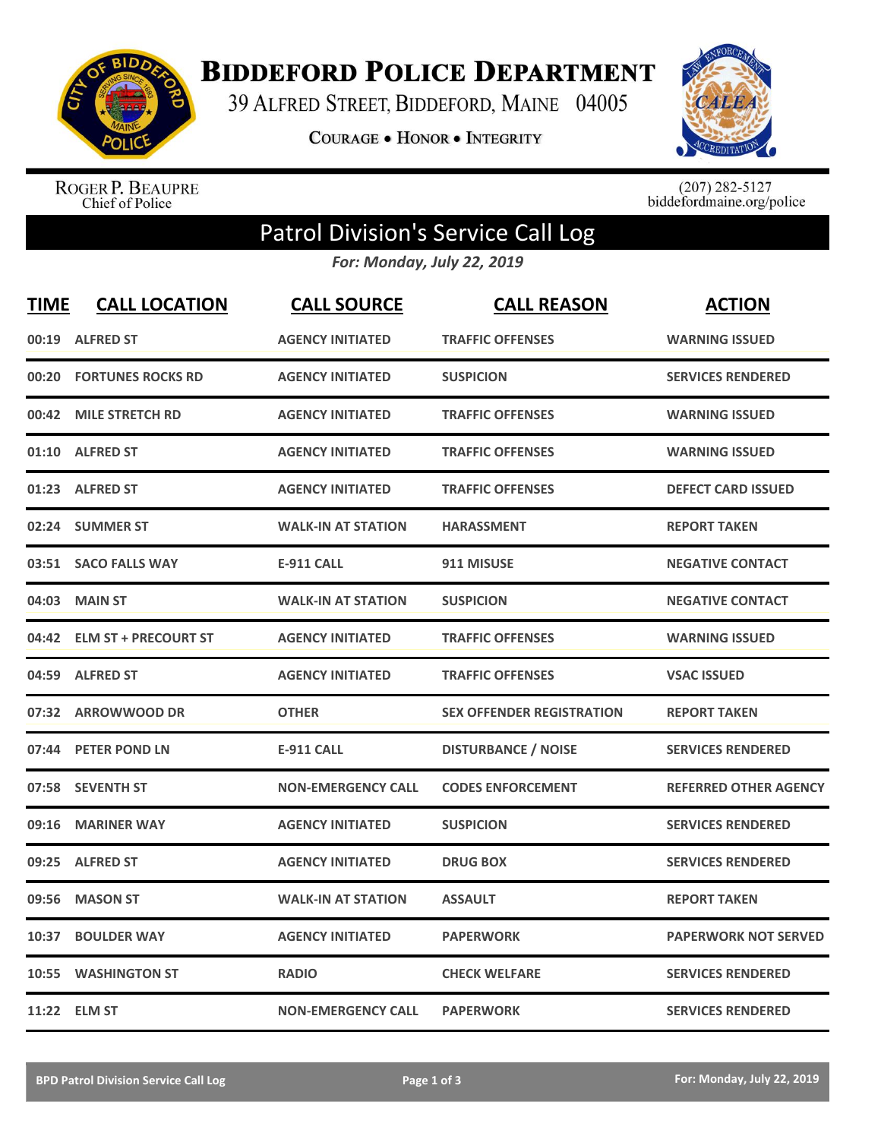

**BIDDEFORD POLICE DEPARTMENT** 

39 ALFRED STREET, BIDDEFORD, MAINE 04005

**COURAGE . HONOR . INTEGRITY** 



ROGER P. BEAUPRE<br>Chief of Police

 $(207)$  282-5127<br>biddefordmaine.org/police

## Patrol Division's Service Call Log

*For: Monday, July 22, 2019*

| <b>TIME</b> | <b>CALL LOCATION</b>       | <b>CALL SOURCE</b>        | <b>CALL REASON</b>               | <b>ACTION</b>                |
|-------------|----------------------------|---------------------------|----------------------------------|------------------------------|
| 00:19       | <b>ALFRED ST</b>           | <b>AGENCY INITIATED</b>   | <b>TRAFFIC OFFENSES</b>          | <b>WARNING ISSUED</b>        |
| 00:20       | <b>FORTUNES ROCKS RD</b>   | <b>AGENCY INITIATED</b>   | <b>SUSPICION</b>                 | <b>SERVICES RENDERED</b>     |
| 00:42       | <b>MILE STRETCH RD</b>     | <b>AGENCY INITIATED</b>   | <b>TRAFFIC OFFENSES</b>          | <b>WARNING ISSUED</b>        |
| 01:10       | <b>ALFRED ST</b>           | <b>AGENCY INITIATED</b>   | <b>TRAFFIC OFFENSES</b>          | <b>WARNING ISSUED</b>        |
|             | 01:23 ALFRED ST            | <b>AGENCY INITIATED</b>   | <b>TRAFFIC OFFENSES</b>          | <b>DEFECT CARD ISSUED</b>    |
|             | 02:24 SUMMER ST            | <b>WALK-IN AT STATION</b> | <b>HARASSMENT</b>                | <b>REPORT TAKEN</b>          |
|             | 03:51 SACO FALLS WAY       | <b>E-911 CALL</b>         | 911 MISUSE                       | <b>NEGATIVE CONTACT</b>      |
| 04:03       | <b>MAIN ST</b>             | <b>WALK-IN AT STATION</b> | <b>SUSPICION</b>                 | <b>NEGATIVE CONTACT</b>      |
|             | 04:42 ELM ST + PRECOURT ST | <b>AGENCY INITIATED</b>   | <b>TRAFFIC OFFENSES</b>          | <b>WARNING ISSUED</b>        |
|             | 04:59 ALFRED ST            | <b>AGENCY INITIATED</b>   | <b>TRAFFIC OFFENSES</b>          | <b>VSAC ISSUED</b>           |
|             | 07:32 ARROWWOOD DR         | <b>OTHER</b>              | <b>SEX OFFENDER REGISTRATION</b> | <b>REPORT TAKEN</b>          |
| 07:44       | <b>PETER POND LN</b>       | <b>E-911 CALL</b>         | <b>DISTURBANCE / NOISE</b>       | <b>SERVICES RENDERED</b>     |
|             | 07:58 SEVENTH ST           | <b>NON-EMERGENCY CALL</b> | <b>CODES ENFORCEMENT</b>         | <b>REFERRED OTHER AGENCY</b> |
| 09:16       | <b>MARINER WAY</b>         | <b>AGENCY INITIATED</b>   | <b>SUSPICION</b>                 | <b>SERVICES RENDERED</b>     |
| 09:25       | <b>ALFRED ST</b>           | <b>AGENCY INITIATED</b>   | <b>DRUG BOX</b>                  | <b>SERVICES RENDERED</b>     |
| 09:56       | <b>MASON ST</b>            | <b>WALK-IN AT STATION</b> | <b>ASSAULT</b>                   | <b>REPORT TAKEN</b>          |
| 10:37       | <b>BOULDER WAY</b>         | <b>AGENCY INITIATED</b>   | <b>PAPERWORK</b>                 | <b>PAPERWORK NOT SERVED</b>  |
| 10:55       | <b>WASHINGTON ST</b>       | <b>RADIO</b>              | <b>CHECK WELFARE</b>             | <b>SERVICES RENDERED</b>     |
|             | 11:22 ELM ST               | <b>NON-EMERGENCY CALL</b> | <b>PAPERWORK</b>                 | <b>SERVICES RENDERED</b>     |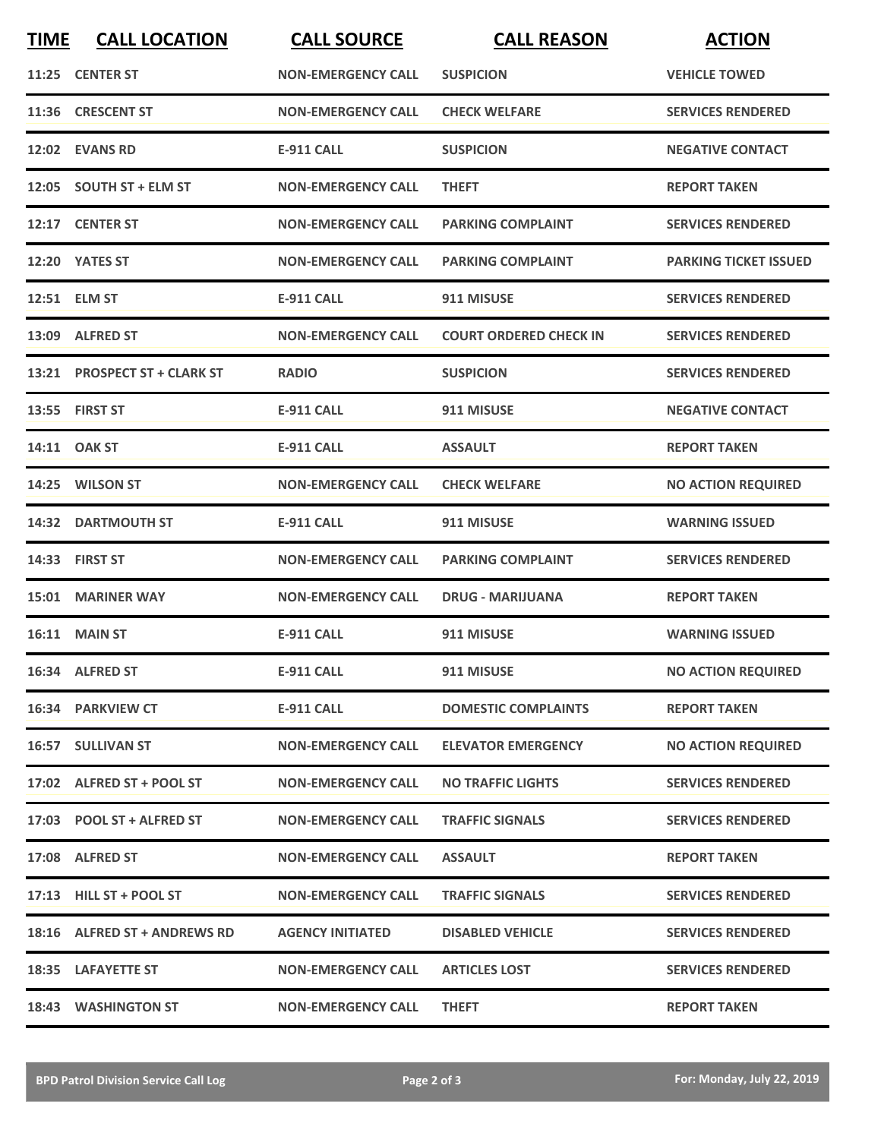| <b>TIME</b> | <b>CALL LOCATION</b>         | <b>CALL SOURCE</b>        | <b>CALL REASON</b>            | <b>ACTION</b>                |
|-------------|------------------------------|---------------------------|-------------------------------|------------------------------|
|             | 11:25 CENTER ST              | <b>NON-EMERGENCY CALL</b> | <b>SUSPICION</b>              | <b>VEHICLE TOWED</b>         |
|             | 11:36 CRESCENT ST            | <b>NON-EMERGENCY CALL</b> | <b>CHECK WELFARE</b>          | <b>SERVICES RENDERED</b>     |
|             | 12:02 EVANS RD               | <b>E-911 CALL</b>         | <b>SUSPICION</b>              | <b>NEGATIVE CONTACT</b>      |
|             | 12:05 SOUTH ST + ELM ST      | <b>NON-EMERGENCY CALL</b> | <b>THEFT</b>                  | <b>REPORT TAKEN</b>          |
|             | 12:17 CENTER ST              | <b>NON-EMERGENCY CALL</b> | <b>PARKING COMPLAINT</b>      | <b>SERVICES RENDERED</b>     |
|             | 12:20 YATES ST               | <b>NON-EMERGENCY CALL</b> | <b>PARKING COMPLAINT</b>      | <b>PARKING TICKET ISSUED</b> |
|             | 12:51 ELM ST                 | <b>E-911 CALL</b>         | 911 MISUSE                    | <b>SERVICES RENDERED</b>     |
|             | 13:09 ALFRED ST              | <b>NON-EMERGENCY CALL</b> | <b>COURT ORDERED CHECK IN</b> | <b>SERVICES RENDERED</b>     |
|             | 13:21 PROSPECT ST + CLARK ST | <b>RADIO</b>              | <b>SUSPICION</b>              | <b>SERVICES RENDERED</b>     |
|             | 13:55 FIRST ST               | <b>E-911 CALL</b>         | 911 MISUSE                    | <b>NEGATIVE CONTACT</b>      |
|             | 14:11 OAK ST                 | <b>E-911 CALL</b>         | <b>ASSAULT</b>                | <b>REPORT TAKEN</b>          |
|             | 14:25 WILSON ST              | <b>NON-EMERGENCY CALL</b> | <b>CHECK WELFARE</b>          | <b>NO ACTION REQUIRED</b>    |
|             | <b>14:32 DARTMOUTH ST</b>    | <b>E-911 CALL</b>         | 911 MISUSE                    | <b>WARNING ISSUED</b>        |
|             | 14:33 FIRST ST               | <b>NON-EMERGENCY CALL</b> | <b>PARKING COMPLAINT</b>      | <b>SERVICES RENDERED</b>     |
| 15:01       | <b>MARINER WAY</b>           | <b>NON-EMERGENCY CALL</b> | <b>DRUG - MARIJUANA</b>       | <b>REPORT TAKEN</b>          |
|             | <b>16:11 MAIN ST</b>         | E-911 CALL                | 911 MISUSE                    | <b>WARNING ISSUED</b>        |
|             | 16:34 ALFRED ST              | E-911 CALL                | 911 MISUSE                    | <b>NO ACTION REQUIRED</b>    |
|             | 16:34 PARKVIEW CT            | <b>E-911 CALL</b>         | <b>DOMESTIC COMPLAINTS</b>    | <b>REPORT TAKEN</b>          |
|             | 16:57 SULLIVAN ST            | <b>NON-EMERGENCY CALL</b> | <b>ELEVATOR EMERGENCY</b>     | <b>NO ACTION REQUIRED</b>    |
|             | 17:02 ALFRED ST + POOL ST    | <b>NON-EMERGENCY CALL</b> | <b>NO TRAFFIC LIGHTS</b>      | <b>SERVICES RENDERED</b>     |
|             | 17:03 POOL ST + ALFRED ST    | <b>NON-EMERGENCY CALL</b> | <b>TRAFFIC SIGNALS</b>        | <b>SERVICES RENDERED</b>     |
|             | 17:08 ALFRED ST              | <b>NON-EMERGENCY CALL</b> | <b>ASSAULT</b>                | <b>REPORT TAKEN</b>          |
|             | 17:13 HILL ST + POOL ST      | <b>NON-EMERGENCY CALL</b> | <b>TRAFFIC SIGNALS</b>        | <b>SERVICES RENDERED</b>     |
|             | 18:16 ALFRED ST + ANDREWS RD | <b>AGENCY INITIATED</b>   | <b>DISABLED VEHICLE</b>       | <b>SERVICES RENDERED</b>     |
|             | 18:35 LAFAYETTE ST           | <b>NON-EMERGENCY CALL</b> | <b>ARTICLES LOST</b>          | <b>SERVICES RENDERED</b>     |
|             | 18:43 WASHINGTON ST          | <b>NON-EMERGENCY CALL</b> | <b>THEFT</b>                  | <b>REPORT TAKEN</b>          |